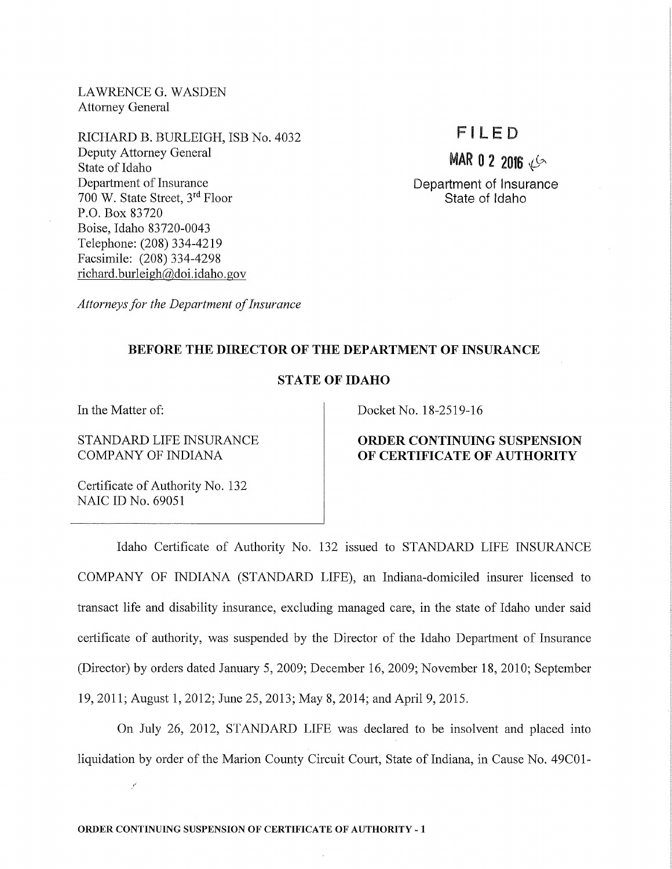LAWRENCE G. WASDEN Attorney General

RICHARD B. BURLEIGH, ISB No. 4032 Deputy Attorney General State of Idaho Department of Insurance 700 W. State Street, 3rd Floor P.O. Box 83720 Boise, Idaho 83720-0043 Telephone: (208) 334-4219 Facsimile: (208) 334-4298 richard. burleigh@doi.idaho.gov

# FI LED

 $MAR$  0 2 2016

Department of Insurance State of Idaho

*Attorneys for the Department of Insurance* 

### BEFORE THE DIRECTOR OF THE DEPARTMENT OF INSURANCE

## STATE OF IDAHO

In the Matter of:

STANDARD LIFE INSURANCE COMPANY OF INDIANA

Docket No. 18-2519-16

## ORDER CONTINUING SUSPENSION OF CERTIFICATE OF AUTHORITY

Certificate of Authority No. 132 NAIC ID No. 69051

Idaho Certificate of Authority No. 132 issued to STANDARD LIFE INSURANCE COMPANY OF INDIANA (STANDARD LIFE), an Indiana-domiciled insurer licensed to transact life and disability insurance, excluding managed care, in the state of Idaho under said certificate of authority, was suspended by the Director of the Idaho Department of Insurance (Director) by orders dated January 5, 2009; December 16, 2009; November 18, 2010; September 19, 2011; August 1, 2012; June 25, 2013; May 8, 2014; and April 9, 2015.

On July 26, 2012, STANDARD LIFE was declared to be insolvent and placed into liquidation by order of the Marion County Circuit Court, State of Indiana, in Cause No. 49C01-

 $\boldsymbol{f}^{\ell}$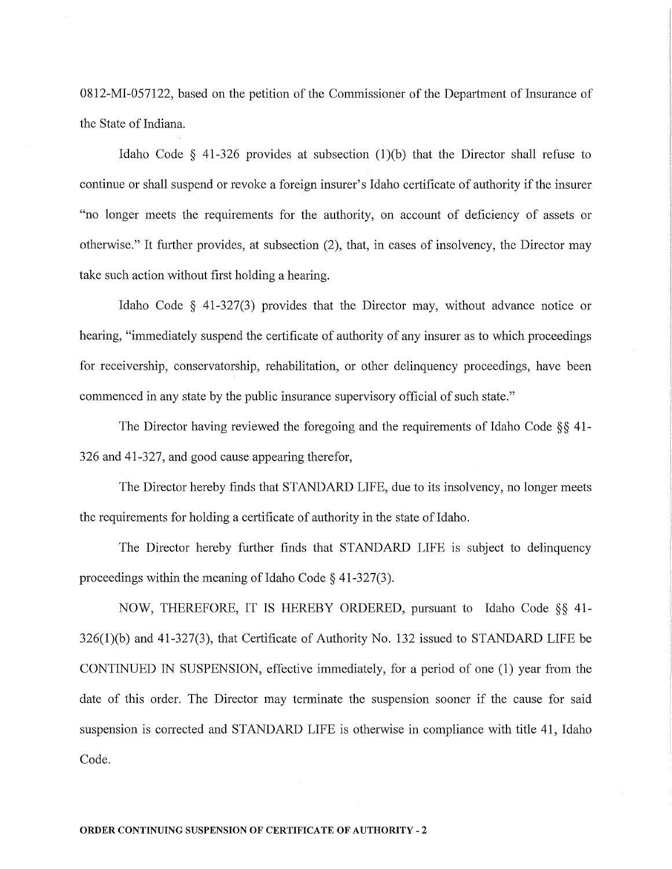0812-MI-057122, based on the petition of the Commissioner of the Department of Insurance of the State of Indiana.

Idaho Code  $\S$  41-326 provides at subsection (1)(b) that the Director shall refuse to continue or shall suspend or revoke a foreign insurer's Idaho certificate of authority if the insurer "no longer meets the requirements for the authority, on account of deficiency of assets or otherwise." It further provides, at subsection (2), that, in cases of insolvency, the Director may take such action without first holding a hearing.

Idaho Code § 41-327(3) provides that the Director may, without advance notice or hearing, "immediately suspend the certificate of authority of any insurer as to which proceedings for receivership, conservatorship, rehabilitation, or other delinquency proceedings, have been commenced in any state by the public insurance supervisory official of such state."

The Director having reviewed the foregoing and the requirements of Idaho Code  $\S$ § 41-326 and 41-327, and good cause appearing therefor,

The Director hereby finds that STANDARD LIFE, due to its insolvency, no longer meets the requirements for holding a certificate of authority in the state of Idaho.

The Director hereby further finds that STANDARD LIFE is subject to delinquency proceedings within the meaning of Idaho Code  $\S$  41-327(3).

NOW, THEREFORE, IT IS HEREBY ORDERED, pursuant to Idaho Code §§ 41-  $326(1)(b)$  and  $41-327(3)$ , that Certificate of Authority No. 132 issued to STANDARD LIFE be CONTINUED IN SUSPENSION, effective immediately, for a period of one (1) year from the date of this order. The Director may terminate the suspension sooner if the cause for said suspension is corrected and STANDARD LIFE is otherwise in compliance with title 41, Idaho Code.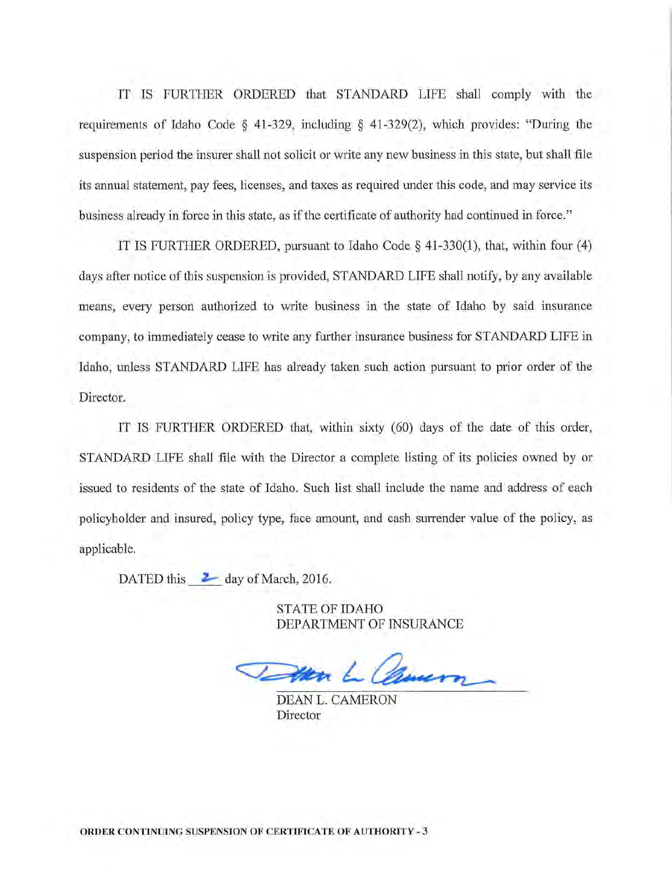IT IS FURTHER ORDERED that STANDARD LIFE shall comply with the requirements of Idaho Code  $\S$  41-329, including  $\S$  41-329(2), which provides: "During the suspension period the insurer shall not solicit or write any new business in this state, but shall file its annual statement, pay fees, licenses, and taxes as required under this code, and may service its business already in force in this state, as if the certificate of authority had continued in force."

IT IS FURTHER ORDERED, pursuant to Idaho Code § 41-330(1), that, within four (4) days after notice of this suspension is provided, STANDARD LIFE shall notify, by any available means, every person authorized to write business in the state of Idaho by said insurance company, to immediately cease to write any further insurance business for STANDARD LIFE in Idaho, unless STANDARD LIFE has already taken such action pursuant to prior order of the Director.

IT IS FURTHER ORDERED that, within sixty (60) days of the date of this order, STANDARD LIFE shall file with the Director a complete listing of its policies owned by or issued to residents of the state of Idaho. Such list shall include the name and address of each policyholder and insured, policy type, face amount, and cash surrender value of the policy, as applicable.

DATED this  $\geq$  day of March, 2016.

STATE OF IDAHO DEPARTMENT OF INSURANCE

Evern

DEAN L. CAMERON Director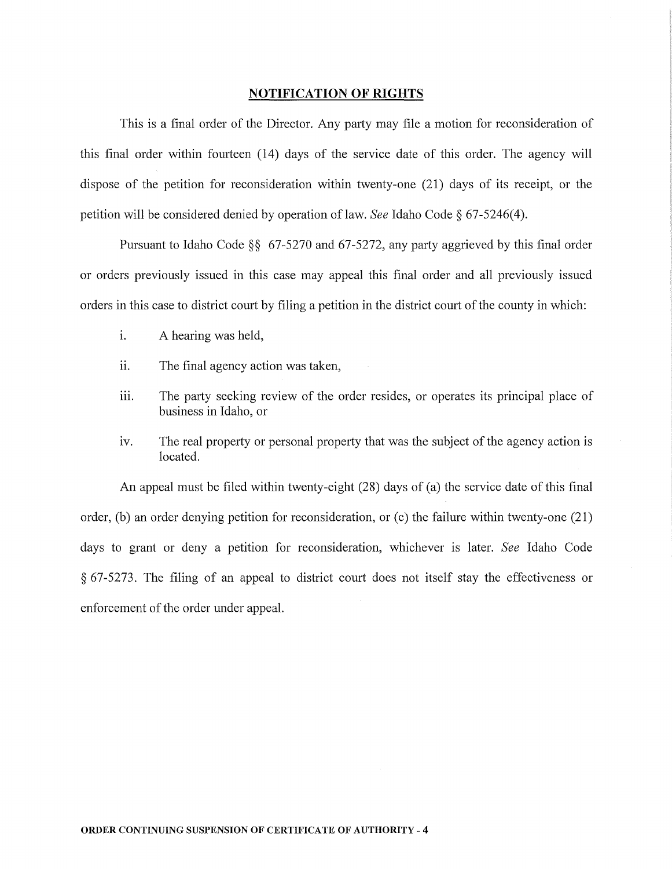### **NOTIFICATION OF RIGHTS**

This is a final order of the Director. Any party may file a motion for reconsideration of this final order within fomieen (14) days of the service date of this order. The agency will dispose of the petition for reconsideration within twenty-one (21) days of its receipt, or the petition will be considered denied by operation of law. *See* Idaho Code § 67-5246( 4 ).

Pursuant to Idaho Code  $\S$ § 67-5270 and 67-5272, any party aggrieved by this final order or orders previously issued in this case may appeal this final order and all previously issued orders in this case to district court by filing a petition in the district court of the county in which:

- 1. A hearing was held,
- ii. The final agency action was taken,
- 111. The party seeking review of the order resides, or operates its principal place of business in Idaho, or
- iv. The real property or personal property that was the subject of the agency action is located.

An appeal must be filed within twenty-eight (28) days of (a) the service date of this final order, (b) an order denying petition for reconsideration, or (c) the failure within twenty-one  $(21)$ days to grant or deny a petition for reconsideration, whichever is later. *See* Idaho Code  $§$  67-5273. The filing of an appeal to district court does not itself stay the effectiveness or enforcement of the order under appeal.